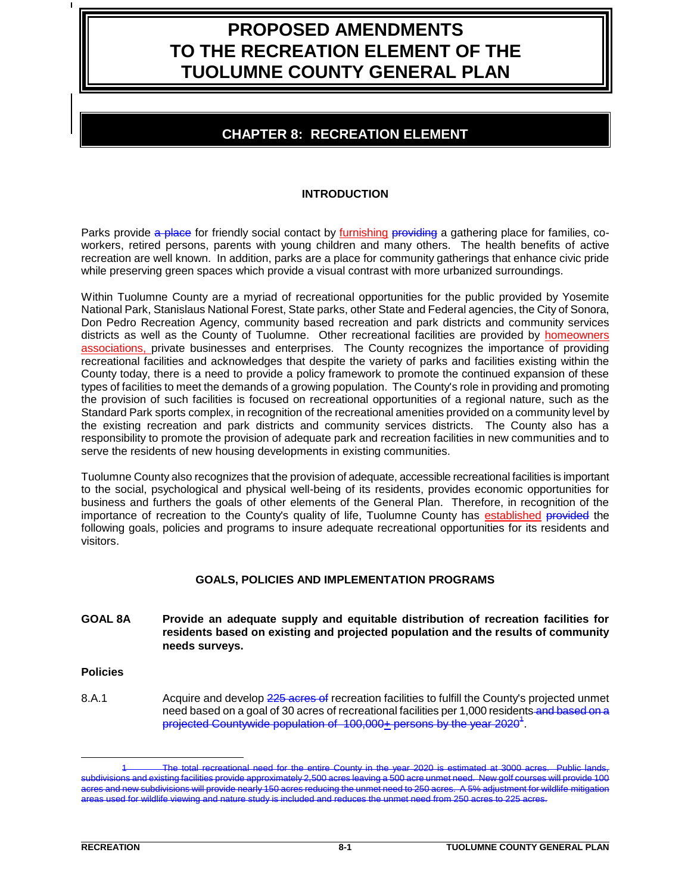# **PROPOSED AMENDMENTS TO THE RECREATION ELEMENT OF THE TUOLUMNE COUNTY GENERAL PLAN**

# **CHAPTER 8: RECREATION ELEMENT**

# **INTRODUCTION**

Parks provide a place for friendly social contact by furnishing providing a gathering place for families, coworkers, retired persons, parents with young children and many others. The health benefits of active recreation are well known. In addition, parks are a place for community gatherings that enhance civic pride while preserving green spaces which provide a visual contrast with more urbanized surroundings.

Within Tuolumne County are a myriad of recreational opportunities for the public provided by Yosemite National Park, Stanislaus National Forest, State parks, other State and Federal agencies, the City of Sonora, Don Pedro Recreation Agency, community based recreation and park districts and community services districts as well as the County of Tuolumne. Other recreational facilities are provided by **homeowners** associations, private businesses and enterprises. The County recognizes the importance of providing recreational facilities and acknowledges that despite the variety of parks and facilities existing within the County today, there is a need to provide a policy framework to promote the continued expansion of these types of facilities to meet the demands of a growing population. The County's role in providing and promoting the provision of such facilities is focused on recreational opportunities of a regional nature, such as the Standard Park sports complex, in recognition of the recreational amenities provided on a community level by the existing recreation and park districts and community services districts. The County also has a responsibility to promote the provision of adequate park and recreation facilities in new communities and to serve the residents of new housing developments in existing communities.

Tuolumne County also recognizes that the provision of adequate, accessible recreational facilities is important to the social, psychological and physical well-being of its residents, provides economic opportunities for business and furthers the goals of other elements of the General Plan. Therefore, in recognition of the importance of recreation to the County's quality of life, Tuolumne County has established provided the following goals, policies and programs to insure adequate recreational opportunities for its residents and visitors.

# **GOALS, POLICIES AND IMPLEMENTATION PROGRAMS**

- **GOAL 8A Provide an adequate supply and equitable distribution of recreation facilities for residents based on existing and projected population and the results of community needs surveys.**
- **Policies**
- 8.A.1 Acquire and develop 225 acres of recreation facilities to fulfill the County's projected unmet need based on a goal of 30 acres of recreational facilities per 1,000 residents and based on a projected Countywide population of  $\,$  100,000 $\pm$  persons by the year 2020 $^4$  .

i. 1 The total recreational need for the entire County in the year 2020 is estimated at 3000 acres. Public lands, subdivisions and existing facilities provide approximately 2,500 acres leaving a 500 acre unmet need. New golf courses will provide 100<br>acres and new subdivisions will provide nearly 150 acres reducing the unmet need to 25 acres and new subdivisions will provide nearly 150 acres reducing the unmet need to 250 acres. areas used for wildlife viewing and nature study is included and reduces the unmet need from 250 acres to 225 acres.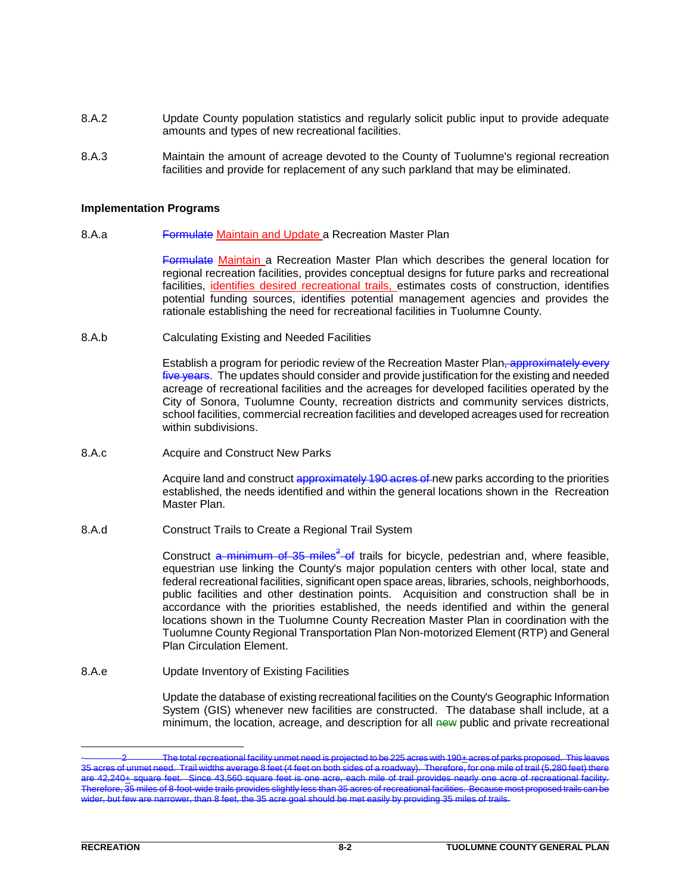- 8.A.2 Update County population statistics and regularly solicit public input to provide adequate amounts and types of new recreational facilities.
- 8.A.3 Maintain the amount of acreage devoted to the County of Tuolumne's regional recreation facilities and provide for replacement of any such parkland that may be eliminated.

#### **Implementation Programs**

8.A.a **Formulate Maintain and Update a Recreation Master Plan** 

Formulate Maintain a Recreation Master Plan which describes the general location for regional recreation facilities, provides conceptual designs for future parks and recreational facilities, identifies desired recreational trails, estimates costs of construction, identifies potential funding sources, identifies potential management agencies and provides the rationale establishing the need for recreational facilities in Tuolumne County.

8.A.b Calculating Existing and Needed Facilities

Establish a program for periodic review of the Recreation Master Plan, approximately every five years. The updates should consider and provide justification for the existing and needed acreage of recreational facilities and the acreages for developed facilities operated by the City of Sonora, Tuolumne County, recreation districts and community services districts, school facilities, commercial recreation facilities and developed acreages used for recreation within subdivisions.

8.A.c **Acquire and Construct New Parks** 

Acquire land and construct approximately 190 acres of new parks according to the priorities established, the needs identified and within the general locations shown in the Recreation Master Plan.

8.A.d Construct Trails to Create a Regional Trail System

Construct a minimum of 35 miles<sup>2</sup> of trails for bicycle, pedestrian and, where feasible, equestrian use linking the County's major population centers with other local, state and federal recreational facilities, significant open space areas, libraries, schools, neighborhoods, public facilities and other destination points. Acquisition and construction shall be in accordance with the priorities established, the needs identified and within the general locations shown in the Tuolumne County Recreation Master Plan in coordination with the Tuolumne County Regional Transportation Plan Non-motorized Element (RTP) and General Plan Circulation Element.

8.A.e Update Inventory of Existing Facilities

Update the database of existing recreational facilities on the County's Geographic Information System (GIS) whenever new facilities are constructed. The database shall include, at a minimum, the location, acreage, and description for all new public and private recreational

i.

<sup>2</sup> The total recreational facility unmet need is projected to be 225 acres with 190+ acres of parks proposed. This leaves 35 acres of unmet need. Trail widths average 8 feet (4 feet on both sides of a roadway). Therefore, for one mile of trail (5,280 feet) there 42,240+ square feet. Since 43,560 square feet is one acre, each mile of trail provides nearly one acre of recreational facility miles of 8-foot-wide trails provides slightly less than 35 acres of recreational facilities. Because most proposed trails wider, but few are narrower, than 8 feet, the 35 acre goal should be met easily by providing 35 miles of trails.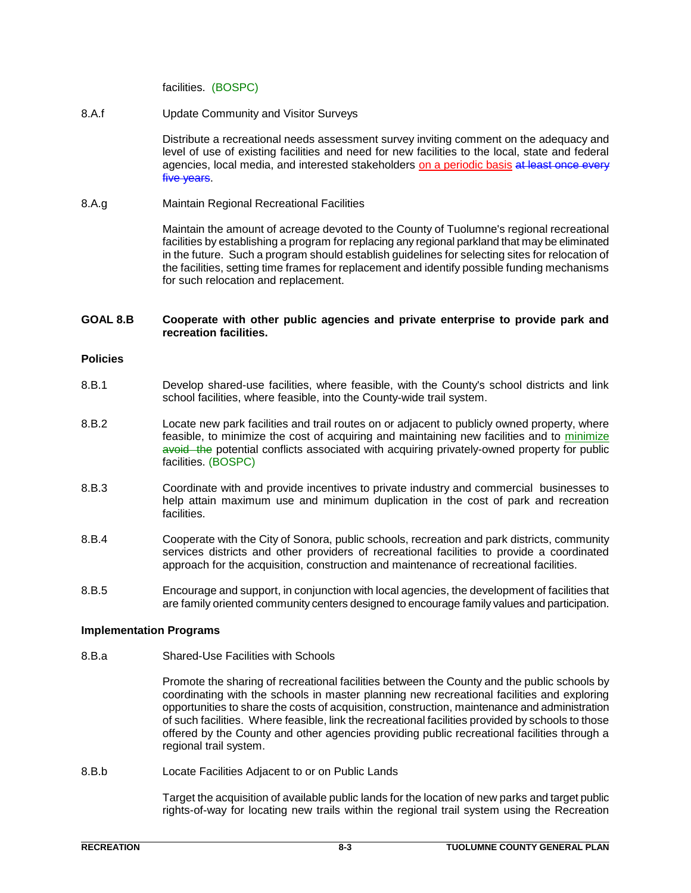facilities. (BOSPC)

8.A.f Update Community and Visitor Surveys

Distribute a recreational needs assessment survey inviting comment on the adequacy and level of use of existing facilities and need for new facilities to the local, state and federal agencies, local media, and interested stakeholders on a periodic basis at least once every five years.

8.A.g Maintain Regional Recreational Facilities

Maintain the amount of acreage devoted to the County of Tuolumne's regional recreational facilities by establishing a program for replacing any regional parkland that may be eliminated in the future. Such a program should establish guidelines for selecting sites for relocation of the facilities, setting time frames for replacement and identify possible funding mechanisms for such relocation and replacement.

# **GOAL 8.B Cooperate with other public agencies and private enterprise to provide park and recreation facilities.**

#### **Policies**

- 8.B.1 Develop shared-use facilities, where feasible, with the County's school districts and link school facilities, where feasible, into the County-wide trail system.
- 8.B.2 Locate new park facilities and trail routes on or adjacent to publicly owned property, where feasible, to minimize the cost of acquiring and maintaining new facilities and to minimize avoid the potential conflicts associated with acquiring privately-owned property for public facilities. (BOSPC)
- 8.B.3 Coordinate with and provide incentives to private industry and commercial businesses to help attain maximum use and minimum duplication in the cost of park and recreation facilities.
- 8.B.4 Cooperate with the City of Sonora, public schools, recreation and park districts, community services districts and other providers of recreational facilities to provide a coordinated approach for the acquisition, construction and maintenance of recreational facilities.
- 8.B.5 Encourage and support, in conjunction with local agencies, the development of facilities that are family oriented community centers designed to encourage family values and participation.

#### **Implementation Programs**

8.B.a Shared-Use Facilities with Schools

Promote the sharing of recreational facilities between the County and the public schools by coordinating with the schools in master planning new recreational facilities and exploring opportunities to share the costs of acquisition, construction, maintenance and administration of such facilities. Where feasible, link the recreational facilities provided by schools to those offered by the County and other agencies providing public recreational facilities through a regional trail system.

8.B.b Locate Facilities Adjacent to or on Public Lands

Target the acquisition of available public lands for the location of new parks and target public rights-of-way for locating new trails within the regional trail system using the Recreation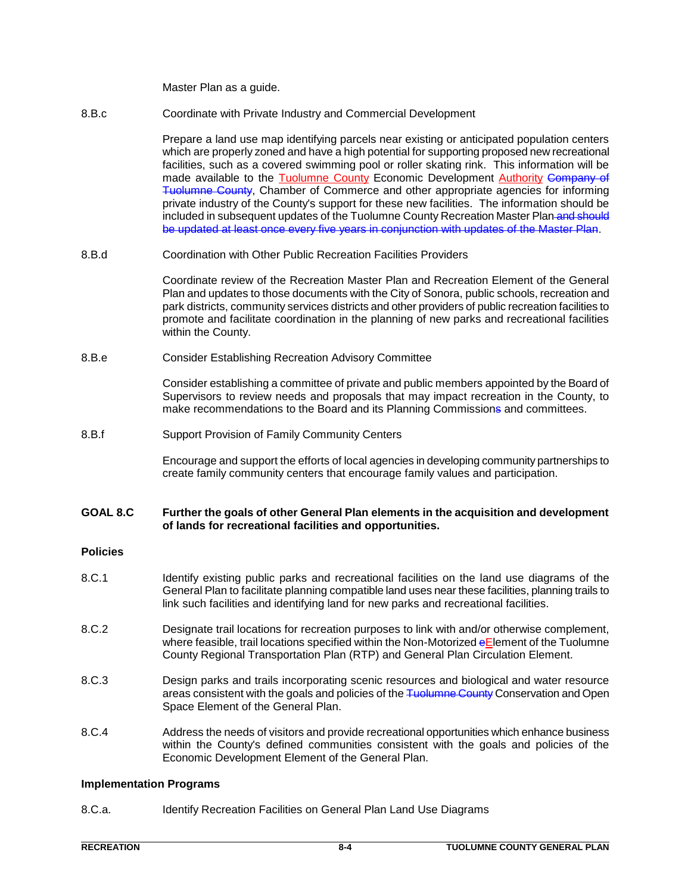Master Plan as a guide.

8.B.c Coordinate with Private Industry and Commercial Development

Prepare a land use map identifying parcels near existing or anticipated population centers which are properly zoned and have a high potential for supporting proposed new recreational facilities, such as a covered swimming pool or roller skating rink. This information will be made available to the Tuolumne County Economic Development Authority Company of Tuolumne County, Chamber of Commerce and other appropriate agencies for informing private industry of the County's support for these new facilities. The information should be included in subsequent updates of the Tuolumne County Recreation Master Plan and should be updated at least once every five years in conjunction with updates of the Master Plan.

8.B.d Coordination with Other Public Recreation Facilities Providers

Coordinate review of the Recreation Master Plan and Recreation Element of the General Plan and updates to those documents with the City of Sonora, public schools, recreation and park districts, community services districts and other providers of public recreation facilities to promote and facilitate coordination in the planning of new parks and recreational facilities within the County.

8.B.e Consider Establishing Recreation Advisory Committee

Consider establishing a committee of private and public members appointed by the Board of Supervisors to review needs and proposals that may impact recreation in the County, to make recommendations to the Board and its Planning Commissions and committees.

8.B.f Support Provision of Family Community Centers

Encourage and support the efforts of local agencies in developing community partnerships to create family community centers that encourage family values and participation.

#### **GOAL 8.C Further the goals of other General Plan elements in the acquisition and development of lands for recreational facilities and opportunities.**

# **Policies**

- 8.C.1 Identify existing public parks and recreational facilities on the land use diagrams of the General Plan to facilitate planning compatible land uses near these facilities, planning trails to link such facilities and identifying land for new parks and recreational facilities.
- 8.C.2 Designate trail locations for recreation purposes to link with and/or otherwise complement, where feasible, trail locations specified within the Non-Motorized eElement of the Tuolumne County Regional Transportation Plan (RTP) and General Plan Circulation Element.
- 8.C.3 Design parks and trails incorporating scenic resources and biological and water resource areas consistent with the goals and policies of the Tuolumne County Conservation and Open Space Element of the General Plan.
- 8.C.4 Address the needs of visitors and provide recreational opportunities which enhance business within the County's defined communities consistent with the goals and policies of the Economic Development Element of the General Plan.

#### **Implementation Programs**

8.C.a. Identify Recreation Facilities on General Plan Land Use Diagrams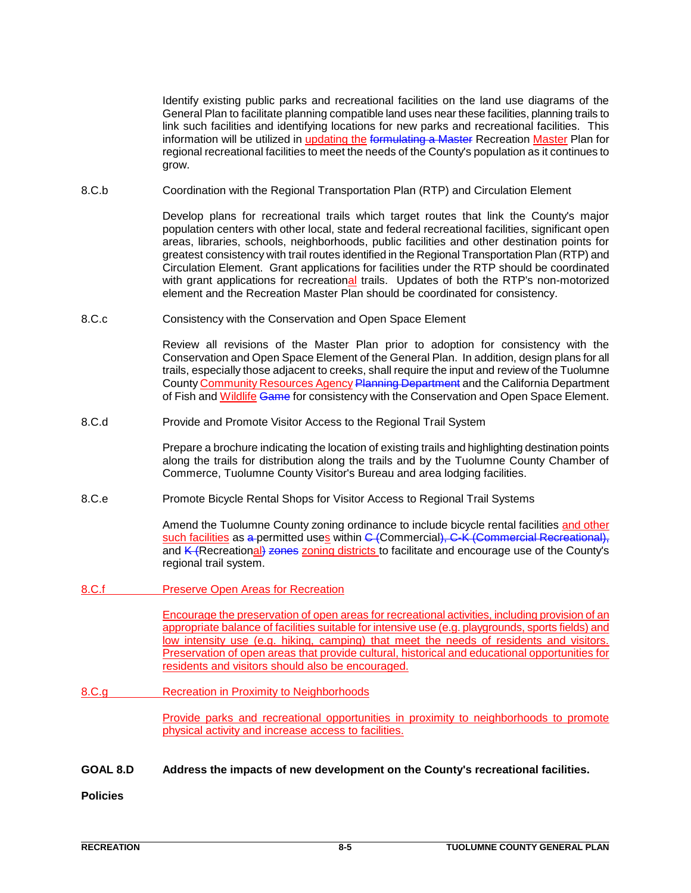Identify existing public parks and recreational facilities on the land use diagrams of the General Plan to facilitate planning compatible land uses near these facilities, planning trails to link such facilities and identifying locations for new parks and recreational facilities. This information will be utilized in updating the formulating a Master Recreation Master Plan for regional recreational facilities to meet the needs of the County's population as it continues to grow.

8.C.b Coordination with the Regional Transportation Plan (RTP) and Circulation Element

Develop plans for recreational trails which target routes that link the County's major population centers with other local, state and federal recreational facilities, significant open areas, libraries, schools, neighborhoods, public facilities and other destination points for greatest consistency with trail routes identified in the Regional Transportation Plan (RTP) and Circulation Element. Grant applications for facilities under the RTP should be coordinated with grant applications for recreational trails. Updates of both the RTP's non-motorized element and the Recreation Master Plan should be coordinated for consistency.

8.C.c Consistency with the Conservation and Open Space Element

Review all revisions of the Master Plan prior to adoption for consistency with the Conservation and Open Space Element of the General Plan. In addition, design plans for all trails, especially those adjacent to creeks, shall require the input and review of the Tuolumne County Community Resources Agency Planning Department and the California Department of Fish and Wildlife Game for consistency with the Conservation and Open Space Element.

8.C.d Provide and Promote Visitor Access to the Regional Trail System

Prepare a brochure indicating the location of existing trails and highlighting destination points along the trails for distribution along the trails and by the Tuolumne County Chamber of Commerce, Tuolumne County Visitor's Bureau and area lodging facilities.

8.C.e Promote Bicycle Rental Shops for Visitor Access to Regional Trail Systems

Amend the Tuolumne County zoning ordinance to include bicycle rental facilities and other such facilities as a permitted uses within C (Commercial), C-K (Commercial Recreational), and  $K$  (Recreational) zones zoning districts to facilitate and encourage use of the County's regional trail system.

8.C.f Preserve Open Areas for Recreation

Encourage the preservation of open areas for recreational activities, including provision of an appropriate balance of facilities suitable for intensive use (e.g. playgrounds, sports fields) and low intensity use (e.g. hiking, camping) that meet the needs of residents and visitors. Preservation of open areas that provide cultural, historical and educational opportunities for residents and visitors should also be encouraged.

8.C.g Recreation in Proximity to Neighborhoods

Provide parks and recreational opportunities in proximity to neighborhoods to promote physical activity and increase access to facilities.

**GOAL 8.D Address the impacts of new development on the County's recreational facilities.**

**Policies**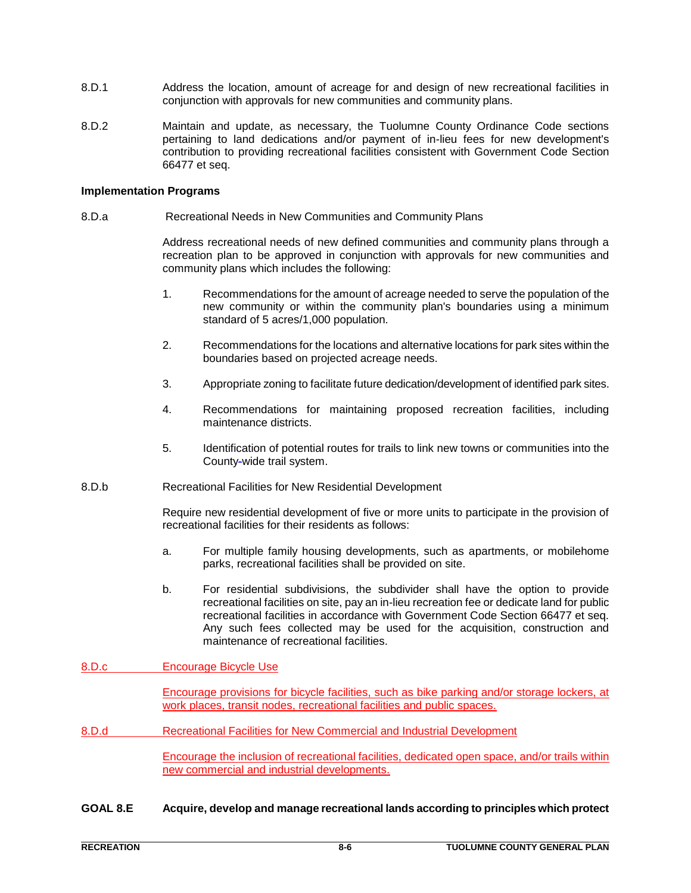- 8.D.1 Address the location, amount of acreage for and design of new recreational facilities in conjunction with approvals for new communities and community plans.
- 8.D.2 Maintain and update, as necessary, the Tuolumne County Ordinance Code sections pertaining to land dedications and/or payment of in-lieu fees for new development's contribution to providing recreational facilities consistent with Government Code Section 66477 et seq.

#### **Implementation Programs**

8.D.a Recreational Needs in New Communities and Community Plans

Address recreational needs of new defined communities and community plans through a recreation plan to be approved in conjunction with approvals for new communities and community plans which includes the following:

- 1. Recommendations for the amount of acreage needed to serve the population of the new community or within the community plan's boundaries using a minimum standard of 5 acres/1,000 population.
- 2. Recommendations for the locations and alternative locations for park sites within the boundaries based on projected acreage needs.
- 3. Appropriate zoning to facilitate future dedication/development of identified park sites.
- 4. Recommendations for maintaining proposed recreation facilities, including maintenance districts.
- 5. Identification of potential routes for trails to link new towns or communities into the County-wide trail system.
- 8.D.b Recreational Facilities for New Residential Development

Require new residential development of five or more units to participate in the provision of recreational facilities for their residents as follows:

- a. For multiple family housing developments, such as apartments, or mobilehome parks, recreational facilities shall be provided on site.
- b. For residential subdivisions, the subdivider shall have the option to provide recreational facilities on site, pay an in-lieu recreation fee or dedicate land for public recreational facilities in accordance with Government Code Section 66477 et seq. Any such fees collected may be used for the acquisition, construction and maintenance of recreational facilities.
- 8.D.c Encourage Bicycle Use

Encourage provisions for bicycle facilities, such as bike parking and/or storage lockers, at work places, transit nodes, recreational facilities and public spaces.

8.D.d Recreational Facilities for New Commercial and Industrial Development

Encourage the inclusion of recreational facilities, dedicated open space, and/or trails within new commercial and industrial developments.

**GOAL 8.E Acquire, develop and manage recreational lands according to principles which protect**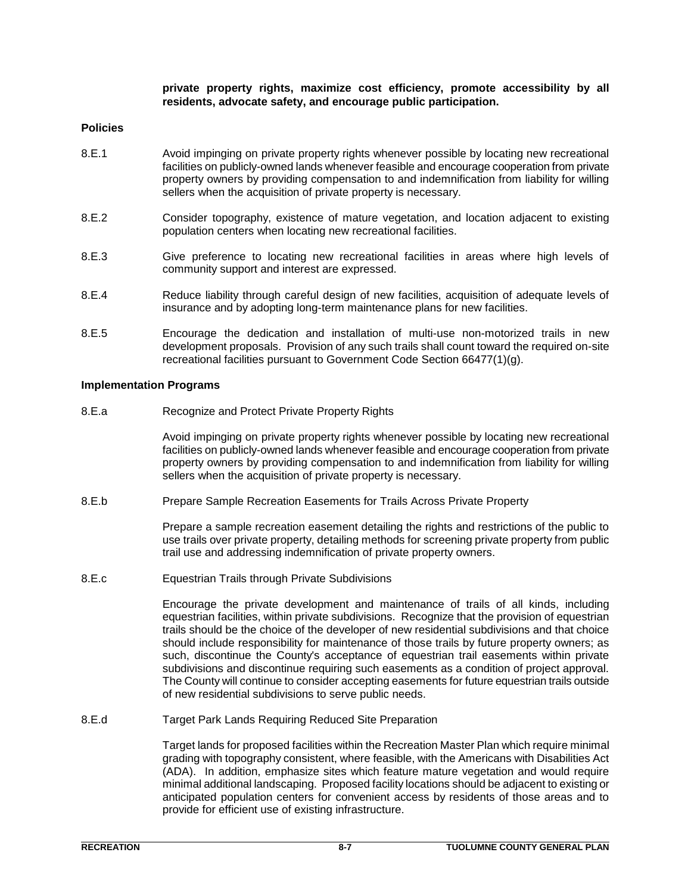**private property rights, maximize cost efficiency, promote accessibility by all residents, advocate safety, and encourage public participation.**

#### **Policies**

- 8.E.1 Avoid impinging on private property rights whenever possible by locating new recreational facilities on publicly-owned lands whenever feasible and encourage cooperation from private property owners by providing compensation to and indemnification from liability for willing sellers when the acquisition of private property is necessary.
- 8.E.2 Consider topography, existence of mature vegetation, and location adjacent to existing population centers when locating new recreational facilities.
- 8.E.3 Give preference to locating new recreational facilities in areas where high levels of community support and interest are expressed.
- 8.E.4 Reduce liability through careful design of new facilities, acquisition of adequate levels of insurance and by adopting long-term maintenance plans for new facilities.
- 8.E.5 Encourage the dedication and installation of multi-use non-motorized trails in new development proposals. Provision of any such trails shall count toward the required on-site recreational facilities pursuant to Government Code Section 66477(1)(g).

#### **Implementation Programs**

8.E.a Recognize and Protect Private Property Rights

Avoid impinging on private property rights whenever possible by locating new recreational facilities on publicly-owned lands whenever feasible and encourage cooperation from private property owners by providing compensation to and indemnification from liability for willing sellers when the acquisition of private property is necessary.

8.E.b Prepare Sample Recreation Easements for Trails Across Private Property

Prepare a sample recreation easement detailing the rights and restrictions of the public to use trails over private property, detailing methods for screening private property from public trail use and addressing indemnification of private property owners.

8.E.c Equestrian Trails through Private Subdivisions

Encourage the private development and maintenance of trails of all kinds, including equestrian facilities, within private subdivisions. Recognize that the provision of equestrian trails should be the choice of the developer of new residential subdivisions and that choice should include responsibility for maintenance of those trails by future property owners; as such, discontinue the County's acceptance of equestrian trail easements within private subdivisions and discontinue requiring such easements as a condition of project approval. The County will continue to consider accepting easements for future equestrian trails outside of new residential subdivisions to serve public needs.

8.E.d Target Park Lands Requiring Reduced Site Preparation

Target lands for proposed facilities within the Recreation Master Plan which require minimal grading with topography consistent, where feasible, with the Americans with Disabilities Act (ADA). In addition, emphasize sites which feature mature vegetation and would require minimal additional landscaping. Proposed facility locations should be adjacent to existing or anticipated population centers for convenient access by residents of those areas and to provide for efficient use of existing infrastructure.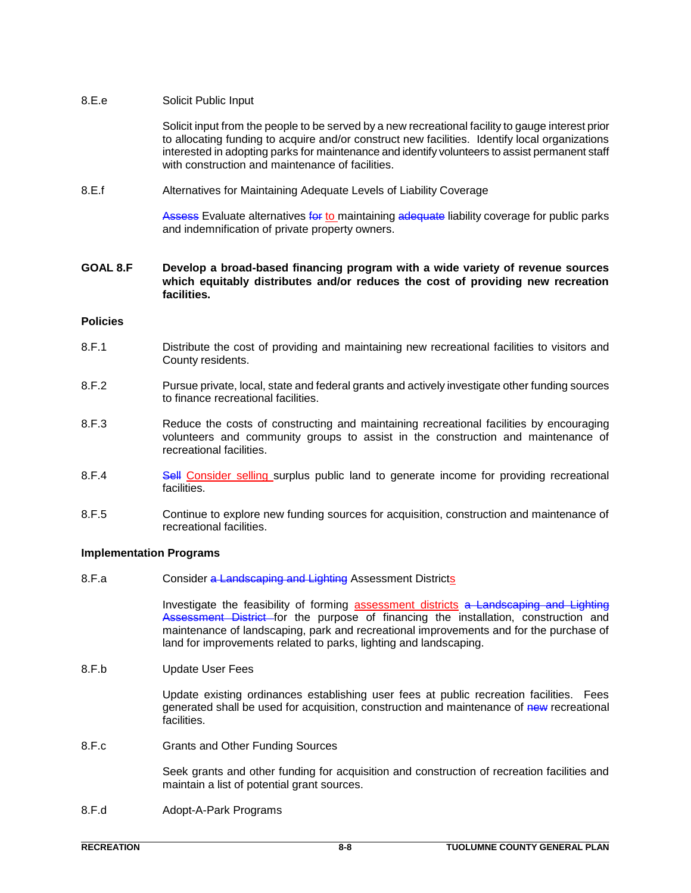# 8.E.e Solicit Public Input

Solicit input from the people to be served by a new recreational facility to gauge interest prior to allocating funding to acquire and/or construct new facilities. Identify local organizations interested in adopting parks for maintenance and identify volunteers to assist permanent staff with construction and maintenance of facilities.

8.E.f Alternatives for Maintaining Adequate Levels of Liability Coverage

Assess Evaluate alternatives for to maintaining adequate liability coverage for public parks and indemnification of private property owners.

### **GOAL 8.F Develop a broad-based financing program with a wide variety of revenue sources which equitably distributes and/or reduces the cost of providing new recreation facilities.**

# **Policies**

- 8.F.1 Distribute the cost of providing and maintaining new recreational facilities to visitors and County residents.
- 8.F.2 Pursue private, local, state and federal grants and actively investigate other funding sources to finance recreational facilities.
- 8.F.3 Reduce the costs of constructing and maintaining recreational facilities by encouraging volunteers and community groups to assist in the construction and maintenance of recreational facilities.
- 8.F.4 Sell Consider selling surplus public land to generate income for providing recreational facilities.
- 8.F.5 Continue to explore new funding sources for acquisition, construction and maintenance of recreational facilities.

#### **Implementation Programs**

8.F.a Consider a Landscaping and Lighting Assessment Districts

Investigate the feasibility of forming **assessment districts** a Landscaping and Lighting Assessment District for the purpose of financing the installation, construction and maintenance of landscaping, park and recreational improvements and for the purchase of land for improvements related to parks, lighting and landscaping.

8.F.b Update User Fees

Update existing ordinances establishing user fees at public recreation facilities. Fees generated shall be used for acquisition, construction and maintenance of new recreational facilities.

8.F.c Grants and Other Funding Sources

Seek grants and other funding for acquisition and construction of recreation facilities and maintain a list of potential grant sources.

8.F.d Adopt-A-Park Programs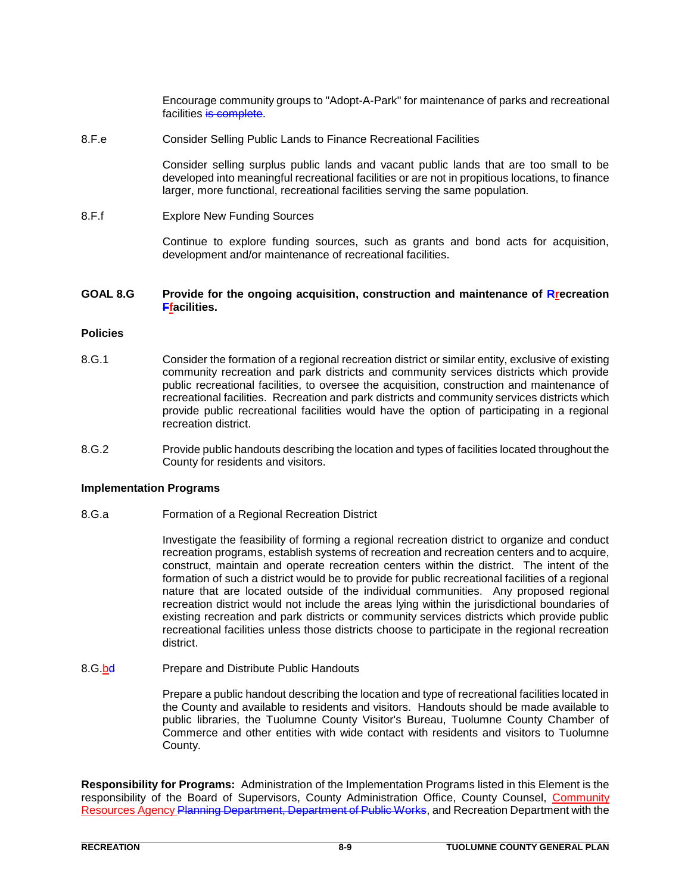Encourage community groups to "Adopt-A-Park" for maintenance of parks and recreational facilities is complete.

8.F.e Consider Selling Public Lands to Finance Recreational Facilities

Consider selling surplus public lands and vacant public lands that are too small to be developed into meaningful recreational facilities or are not in propitious locations, to finance larger, more functional, recreational facilities serving the same population.

8.F.f Explore New Funding Sources

Continue to explore funding sources, such as grants and bond acts for acquisition, development and/or maintenance of recreational facilities.

#### **GOAL 8.G Provide for the ongoing acquisition, construction and maintenance of Rrecreation Ffacilities.**

#### **Policies**

- 8.G.1 Consider the formation of a regional recreation district or similar entity, exclusive of existing community recreation and park districts and community services districts which provide public recreational facilities, to oversee the acquisition, construction and maintenance of recreational facilities. Recreation and park districts and community services districts which provide public recreational facilities would have the option of participating in a regional recreation district.
- 8.G.2 Provide public handouts describing the location and types of facilities located throughout the County for residents and visitors.

#### **Implementation Programs**

8.G.a Formation of a Regional Recreation District

Investigate the feasibility of forming a regional recreation district to organize and conduct recreation programs, establish systems of recreation and recreation centers and to acquire, construct, maintain and operate recreation centers within the district. The intent of the formation of such a district would be to provide for public recreational facilities of a regional nature that are located outside of the individual communities. Any proposed regional recreation district would not include the areas lying within the jurisdictional boundaries of existing recreation and park districts or community services districts which provide public recreational facilities unless those districts choose to participate in the regional recreation district.

8.G.bd Prepare and Distribute Public Handouts

Prepare a public handout describing the location and type of recreational facilities located in the County and available to residents and visitors. Handouts should be made available to public libraries, the Tuolumne County Visitor's Bureau, Tuolumne County Chamber of Commerce and other entities with wide contact with residents and visitors to Tuolumne County.

**Responsibility for Programs:** Administration of the Implementation Programs listed in this Element is the responsibility of the Board of Supervisors, County Administration Office, County Counsel, Community Resources Agency Planning Department, Department of Public Works, and Recreation Department with the